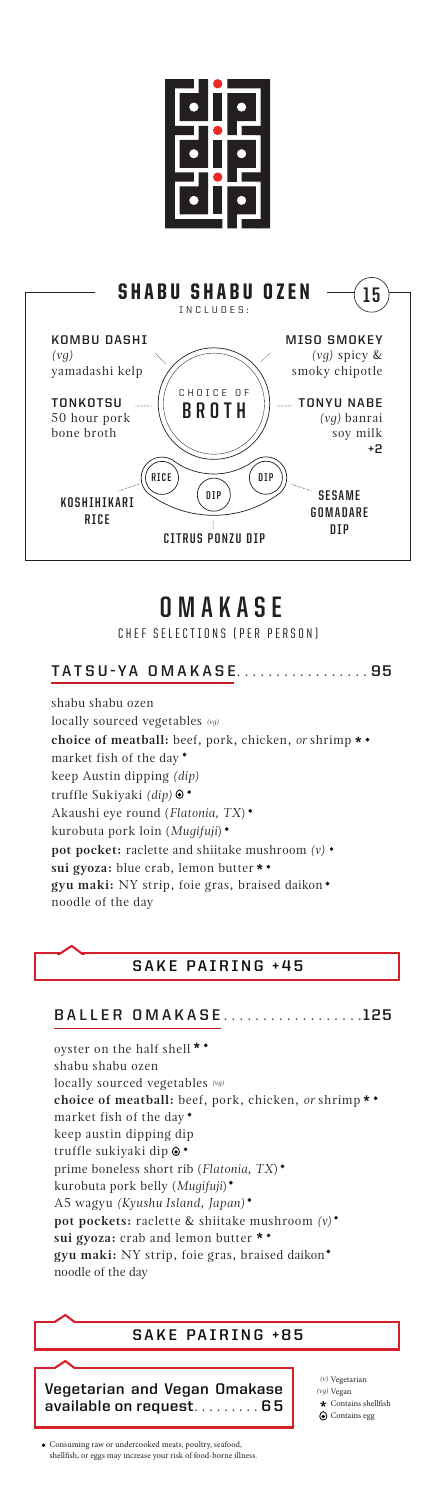



## **OMAKASE**

CHEF SELECTIONS (PER PERSON)

#### **TATSU-YA OMAKASE** . . . . . . . . . . . . . . . . . **95**

shabu shabu ozen locally sourced vegetables *(vg)* **choice of meatball:** beef, pork, chicken, *or* shrimp market fish of the day keep Austin dipping *(dip)* truffle Sukiyaki *(dip)* Akaushi eye round (*Flatonia, TX*) kurobuta pork loin (*Mugifuji*) **pot pocket:** raclette and shiitake mushroom *(v)* **sui gyoza:** blue crab, lemon butter **gyu maki:** NY strip, foie gras, braised daikon noodle of the day

#### **SAKE PAIRING +45**

#### **BALLER OMAKASE** . . . . . . . . . . . . . . . . . **125**

oyster on the half shell \* \* shabu shabu ozen locally sourced vegetables *(vg)***choice of meatball:** beef, pork, chicken, *or* shrimp market fish of the day keep austin dipping dip truffle sukiyaki dip prime boneless short rib (*Flatonia, TX*) kurobuta pork belly (*Mugifuji*) A5 wagyu *(Kyushu Island, Japan)* **pot pockets:** raclette & shiitake mushroom *(v)* **sui gyoza:** crab and lemon butter **gyu maki:** NY strip, foie gras, braised daikon noodle of the day

#### SAKE PAIRING +85

**Vegetarian and Vegan Omakase available on request**......... **6 5**

 $\star$  Contains shellfish Contains egg Vegetarian *(v)* Vegan *(vg)*

Consuming raw or undercooked meats, poultry, seafood, shellfish, or eggs may increase your risk of food-borne illness.